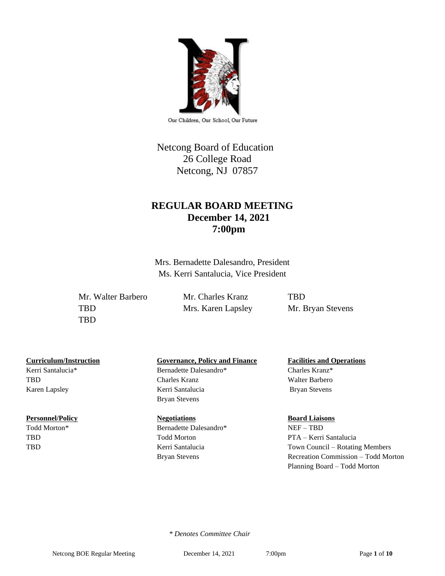

Our Children, Our School, Our Future

## Netcong Board of Education 26 College Road Netcong, NJ 07857

## **REGULAR BOARD MEETING December 14, 2021 7:00pm**

Mrs. Bernadette Dalesandro, President Ms. Kerri Santalucia, Vice President

Mr. Walter Barbero Mr. Charles Kranz TBD TBD Mrs. Karen Lapsley Mr. Bryan Stevens TBD

Kerri Santalucia\* Bernadette Dalesandro\* Charles Kranz\*

#### **Personnel/Policy Regotiations Board Liaisons Board Liaisons**

## **Curriculum/Instruction Governance, Policy and Finance Facilities and Operations**

TBD Charles Kranz Walter Barbero Karen Lapsley **Kerri Santalucia** Bryan Stevens Bryan Stevens

Todd Morton\* Bernadette Dalesandro\* NEF – TBD

# TBD Todd Morton PTA – Kerri Santalucia TBD Kerri Santalucia Town Council – Rotating Members Bryan Stevens Recreation Commission – Todd Morton Planning Board – Todd Morton

 *\* Denotes Committee Chair*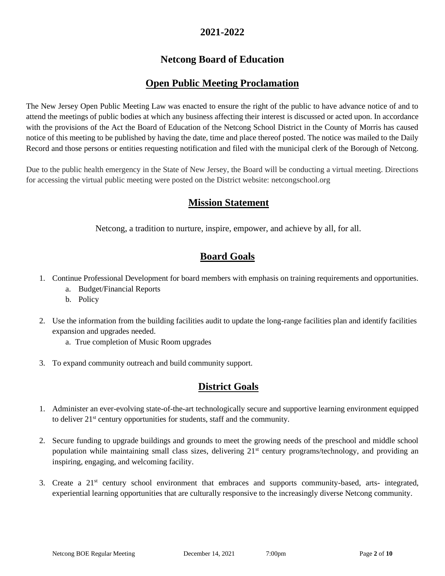## **2021-2022**

## **Netcong Board of Education**

## **Open Public Meeting Proclamation**

The New Jersey Open Public Meeting Law was enacted to ensure the right of the public to have advance notice of and to attend the meetings of public bodies at which any business affecting their interest is discussed or acted upon. In accordance with the provisions of the Act the Board of Education of the Netcong School District in the County of Morris has caused notice of this meeting to be published by having the date, time and place thereof posted. The notice was mailed to the Daily Record and those persons or entities requesting notification and filed with the municipal clerk of the Borough of Netcong.

Due to the public health emergency in the State of New Jersey, the Board will be conducting a virtual meeting. Directions for accessing the virtual public meeting were posted on the District website: netcongschool.org

## **Mission Statement**

Netcong, a tradition to nurture, inspire, empower, and achieve by all, for all.

## **Board Goals**

- 1. Continue Professional Development for board members with emphasis on training requirements and opportunities.
	- a. Budget/Financial Reports
	- b. Policy
- 2. Use the information from the building facilities audit to update the long-range facilities plan and identify facilities expansion and upgrades needed.
	- a. True completion of Music Room upgrades
- 3. To expand community outreach and build community support.

## **District Goals**

- 1. Administer an ever-evolving state-of-the-art technologically secure and supportive learning environment equipped to deliver 21st century opportunities for students, staff and the community.
- 2. Secure funding to upgrade buildings and grounds to meet the growing needs of the preschool and middle school population while maintaining small class sizes, delivering 21<sup>st</sup> century programs/technology, and providing an inspiring, engaging, and welcoming facility.
- 3. Create a 21st century school environment that embraces and supports community-based, arts- integrated, experiential learning opportunities that are culturally responsive to the increasingly diverse Netcong community.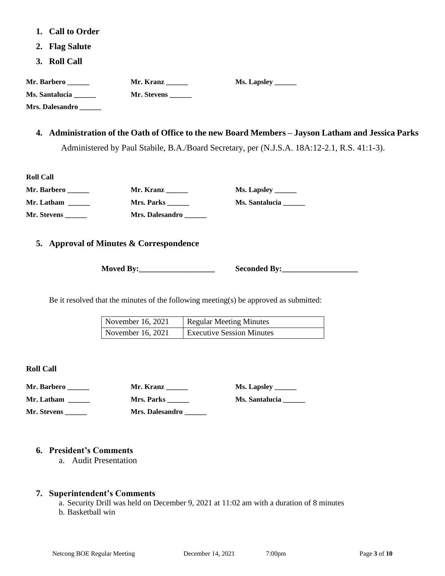- **1. Call to Order**
- **2. Flag Salute**
- **3. Roll Call**

| Mr. Barbero _____      | Mr. Kranz $\frac{1}{\sqrt{1-\frac{1}{2}}\cdot\frac{1}{\sqrt{1-\frac{1}{2}}}}$ | <b>Ms. Lapsley</b> ______ |
|------------------------|-------------------------------------------------------------------------------|---------------------------|
| Ms. Santalucia         | <b>Mr. Stevens</b> ______                                                     |                           |
| Mrs. Dalesandro ______ |                                                                               |                           |
|                        |                                                                               |                           |
|                        |                                                                               |                           |

### **4. Administration of the Oath of Office to the new Board Members – Jayson Latham and Jessica Parks**

Administered by Paul Stabile, B.A./Board Secretary, per (N.J.S.A. 18A:12-2.1, R.S. 41:1-3).

| <b>Roll Call</b> |                 |
|------------------|-----------------|
| Mr. Barbero      | Mr. Kranz       |
| Mr. Latham       | Mrs. Parks      |
| Mr. Stevens      | Mrs. Dalesandro |

**Ms. Lapsley** \_\_\_\_\_\_\_ **Mr. Latham \_\_\_\_\_\_ Mrs. Parks \_\_\_\_\_\_ Ms. Santalucia \_\_\_\_\_\_**

#### **5. Approval of Minutes & Correspondence**

**Moved By:** Seconded By:

Be it resolved that the minutes of the following meeting(s) be approved as submitted:

| November 16, 2021 | Regular Meeting Minutes          |
|-------------------|----------------------------------|
| November 16, 2021 | <b>Executive Session Minutes</b> |

**Roll Call**

| Mr. Barbero | Mr. Kranz         | Ms. Lapsley ________ |
|-------------|-------------------|----------------------|
| Mr. Latham  | <b>Mrs. Parks</b> | Ms. Santalucia       |
| Mr. Stevens | Mrs. Dalesandro   |                      |

### **6. President's Comments**

a. Audit Presentation

#### **7. Superintendent's Comments**

a. Security Drill was held on December 9, 2021 at 11:02 am with a duration of 8 minutes

b. Basketball win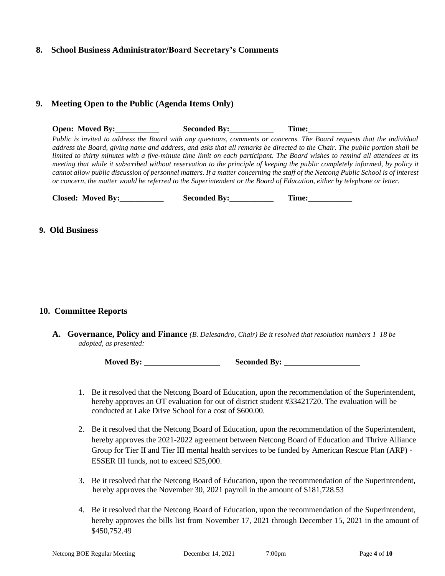#### **8. School Business Administrator/Board Secretary's Comments**

#### **9. Meeting Open to the Public (Agenda Items Only)**

**Open: Moved By: Seconded By: Time:** *Public is invited to address the Board with any questions, comments or concerns. The Board requests that the individual address the Board, giving name and address, and asks that all remarks be directed to the Chair. The public portion shall be limited to thirty minutes with a five-minute time limit on each participant. The Board wishes to remind all attendees at its meeting that while it subscribed without reservation to the principle of keeping the public completely informed, by policy it cannot allow public discussion of personnel matters. If a matter concerning the staff of the Netcong Public School is of interest or concern, the matter would be referred to the Superintendent or the Board of Education, either by telephone or letter.*

| <b>Closed: Moved By:</b> | <b>Seconded By:</b> | l'ime: |
|--------------------------|---------------------|--------|
|--------------------------|---------------------|--------|

#### **9. Old Business**

#### **10. Committee Reports**

**A. Governance, Policy and Finance** *(B. Dalesandro, Chair) Be it resolved that resolution numbers 1–18 be adopted, as presented:*

**Moved By: \_\_\_\_\_\_\_\_\_\_\_\_\_\_\_\_\_\_\_ Seconded By: \_\_\_\_\_\_\_\_\_\_\_\_\_\_\_\_\_\_\_**

- 1. Be it resolved that the Netcong Board of Education, upon the recommendation of the Superintendent, hereby approves an OT evaluation for out of district student #33421720. The evaluation will be conducted at Lake Drive School for a cost of \$600.00.
- 2. Be it resolved that the Netcong Board of Education, upon the recommendation of the Superintendent, hereby approves the 2021-2022 agreement between Netcong Board of Education and Thrive Alliance Group for Tier II and Tier III mental health services to be funded by American Rescue Plan (ARP) - ESSER III funds, not to exceed \$25,000.
- 3. Be it resolved that the Netcong Board of Education, upon the recommendation of the Superintendent, hereby approves the November 30, 2021 payroll in the amount of \$181,728.53
- 4. Be it resolved that the Netcong Board of Education, upon the recommendation of the Superintendent, hereby approves the bills list from November 17, 2021 through December 15, 2021 in the amount of \$450,752.49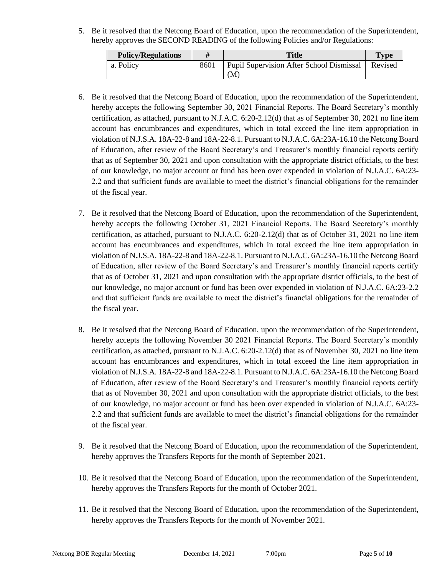5. Be it resolved that the Netcong Board of Education, upon the recommendation of the Superintendent, hereby approves the SECOND READING of the following Policies and/or Regulations:

| <b>Policy/Regulations</b> | <b>Title</b>                                   | <b>Type</b> |
|---------------------------|------------------------------------------------|-------------|
| a. Policy                 | Pupil Supervision After School Dismissal<br>(M | Revised     |

- 6. Be it resolved that the Netcong Board of Education, upon the recommendation of the Superintendent, hereby accepts the following September 30, 2021 Financial Reports. The Board Secretary's monthly certification, as attached, pursuant to N.J.A.C. 6:20-2.12(d) that as of September 30, 2021 no line item account has encumbrances and expenditures, which in total exceed the line item appropriation in violation of N.J.S.A. 18A-22-8 and 18A-22-8.1. Pursuant to N.J.A.C. 6A:23A-16.10 the Netcong Board of Education, after review of the Board Secretary's and Treasurer's monthly financial reports certify that as of September 30, 2021 and upon consultation with the appropriate district officials, to the best of our knowledge, no major account or fund has been over expended in violation of N.J.A.C. 6A:23- 2.2 and that sufficient funds are available to meet the district's financial obligations for the remainder of the fiscal year.
- 7. Be it resolved that the Netcong Board of Education, upon the recommendation of the Superintendent, hereby accepts the following October 31, 2021 Financial Reports. The Board Secretary's monthly certification, as attached, pursuant to N.J.A.C. 6:20-2.12(d) that as of October 31, 2021 no line item account has encumbrances and expenditures, which in total exceed the line item appropriation in violation of N.J.S.A. 18A-22-8 and 18A-22-8.1. Pursuant to N.J.A.C. 6A:23A-16.10 the Netcong Board of Education, after review of the Board Secretary's and Treasurer's monthly financial reports certify that as of October 31, 2021 and upon consultation with the appropriate district officials, to the best of our knowledge, no major account or fund has been over expended in violation of N.J.A.C. 6A:23-2.2 and that sufficient funds are available to meet the district's financial obligations for the remainder of the fiscal year.
- 8. Be it resolved that the Netcong Board of Education, upon the recommendation of the Superintendent, hereby accepts the following November 30 2021 Financial Reports. The Board Secretary's monthly certification, as attached, pursuant to N.J.A.C. 6:20-2.12(d) that as of November 30, 2021 no line item account has encumbrances and expenditures, which in total exceed the line item appropriation in violation of N.J.S.A. 18A-22-8 and 18A-22-8.1. Pursuant to N.J.A.C. 6A:23A-16.10 the Netcong Board of Education, after review of the Board Secretary's and Treasurer's monthly financial reports certify that as of November 30, 2021 and upon consultation with the appropriate district officials, to the best of our knowledge, no major account or fund has been over expended in violation of N.J.A.C. 6A:23- 2.2 and that sufficient funds are available to meet the district's financial obligations for the remainder of the fiscal year.
- 9. Be it resolved that the Netcong Board of Education, upon the recommendation of the Superintendent, hereby approves the Transfers Reports for the month of September 2021.
- 10. Be it resolved that the Netcong Board of Education, upon the recommendation of the Superintendent, hereby approves the Transfers Reports for the month of October 2021.
- 11. Be it resolved that the Netcong Board of Education, upon the recommendation of the Superintendent, hereby approves the Transfers Reports for the month of November 2021.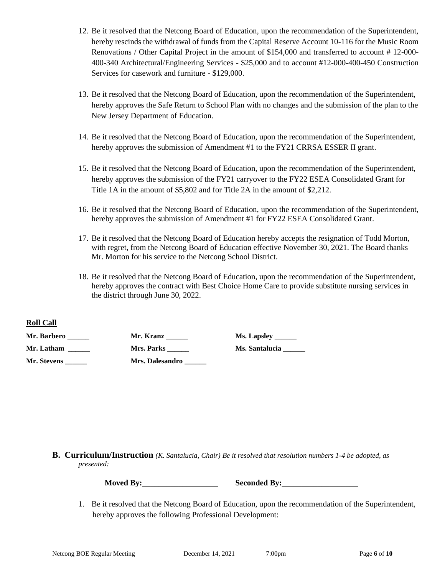- 12. Be it resolved that the Netcong Board of Education, upon the recommendation of the Superintendent, hereby rescinds the withdrawal of funds from the Capital Reserve Account 10-116 for the Music Room Renovations / Other Capital Project in the amount of \$154,000 and transferred to account #12-000-400-340 Architectural/Engineering Services - \$25,000 and to account #12-000-400-450 Construction Services for casework and furniture - \$129,000.
- 13. Be it resolved that the Netcong Board of Education, upon the recommendation of the Superintendent, hereby approves the Safe Return to School Plan with no changes and the submission of the plan to the New Jersey Department of Education.
- 14. Be it resolved that the Netcong Board of Education, upon the recommendation of the Superintendent, hereby approves the submission of Amendment #1 to the FY21 CRRSA ESSER II grant.
- 15. Be it resolved that the Netcong Board of Education, upon the recommendation of the Superintendent, hereby approves the submission of the FY21 carryover to the FY22 ESEA Consolidated Grant for Title 1A in the amount of \$5,802 and for Title 2A in the amount of \$2,212.
- 16. Be it resolved that the Netcong Board of Education, upon the recommendation of the Superintendent, hereby approves the submission of Amendment #1 for FY22 ESEA Consolidated Grant.
- 17. Be it resolved that the Netcong Board of Education hereby accepts the resignation of Todd Morton, with regret, from the Netcong Board of Education effective November 30, 2021. The Board thanks Mr. Morton for his service to the Netcong School District.
- 18. Be it resolved that the Netcong Board of Education, upon the recommendation of the Superintendent, hereby approves the contract with Best Choice Home Care to provide substitute nursing services in the district through June 30, 2022.

#### **Roll Call**

| Mr. Barbero | Mr. Kranz         | <b>Ms. Lapsley</b> _______ |
|-------------|-------------------|----------------------------|
| Mr. Latham  | <b>Mrs. Parks</b> | <b>Ms. Santalucia</b>      |
| Mr. Stevens | Mrs. Dalesandro   |                            |

#### **B. Curriculum/Instruction** *(K. Santalucia, Chair) Be it resolved that resolution numbers 1-4 be adopted, as presented:*

**Moved By:\_\_\_\_\_\_\_\_\_\_\_\_\_\_\_\_\_\_\_ Seconded By:\_\_\_\_\_\_\_\_\_\_\_\_\_\_\_\_\_\_\_**

1. Be it resolved that the Netcong Board of Education, upon the recommendation of the Superintendent, hereby approves the following Professional Development: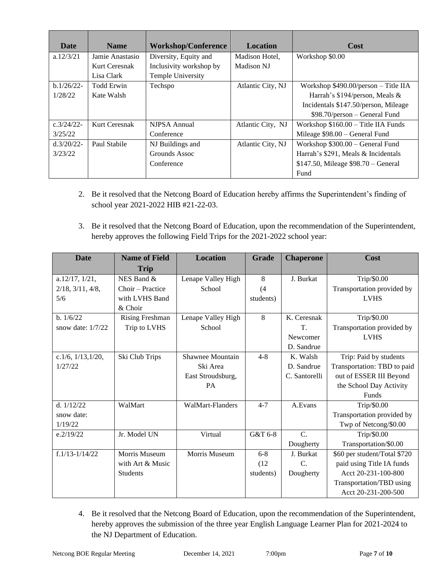| Date          | <b>Name</b>       | <b>Workshop/Conference</b> | <b>Location</b>   | Cost                                  |
|---------------|-------------------|----------------------------|-------------------|---------------------------------------|
| a.12/3/21     | Jamie Anastasio   | Diversity, Equity and      | Madison Hotel,    | Workshop \$0.00                       |
|               | Kurt Ceresnak     | Inclusivity workshop by    | Madison NJ        |                                       |
|               | Lisa Clark        | Temple University          |                   |                                       |
| $b.1/26/22$ - | <b>Todd Erwin</b> | Techspo                    | Atlantic City, NJ | Workshop $$490.00/person - Title IIA$ |
| 1/28/22       | Kate Walsh        |                            |                   | Harrah's \$194/person, Meals &        |
|               |                   |                            |                   | Incidentals \$147.50/person, Mileage  |
|               |                   |                            |                   | $$98.70/person - General Fund$        |
| $c.3/24/22$ - | Kurt Ceresnak     | NJPSA Annual               | Atlantic City, NJ | Workshop $$160.00 -$ Title IIA Funds  |
| 3/25/22       |                   | Conference                 |                   | Mileage \$98.00 - General Fund        |
| $d.3/20/22$ - | Paul Stabile      | NJ Buildings and           | Atlantic City, NJ | Workshop $$300.00 - General Fund$     |
| 3/23/22       |                   | Grounds Assoc              |                   | Harrah's \$291, Meals & Incidentals   |
|               |                   | Conference                 |                   | \$147.50, Mileage \$98.70 - General   |
|               |                   |                            |                   | Fund                                  |

- 2. Be it resolved that the Netcong Board of Education hereby affirms the Superintendent's finding of school year 2021-2022 HIB #21-22-03.
- 3. Be it resolved that the Netcong Board of Education, upon the recommendation of the Superintendent, hereby approves the following Field Trips for the 2021-2022 school year:

| <b>Date</b>               | <b>Name of Field</b>   | <b>Location</b>    | <b>Grade</b> | <b>Chaperone</b> | Cost                         |
|---------------------------|------------------------|--------------------|--------------|------------------|------------------------------|
|                           | <b>Trip</b>            |                    |              |                  |                              |
| a.12/17, 1/21,            | NES Band &             | Lenape Valley High | 8            | J. Burkat        | Trip/\$0.00                  |
| $2/18$ , $3/11$ , $4/8$ , | Choir – Practice       | School             | (4)          |                  | Transportation provided by   |
| 5/6                       | with LVHS Band         |                    | students)    |                  | <b>LVHS</b>                  |
|                           | & Choir                |                    |              |                  |                              |
| b. 1/6/22                 | <b>Rising Freshman</b> | Lenape Valley High | 8            | K. Ceresnak      | Trip/\$0.00                  |
| snow date: $1/7/22$       | Trip to LVHS           | School             |              | T.               | Transportation provided by   |
|                           |                        |                    |              | Newcomer         | <b>LVHS</b>                  |
|                           |                        |                    |              | D. Sandrue       |                              |
| c.1/6, $1/13$ , $1/20$ ,  | Ski Club Trips         | Shawnee Mountain   | $4 - 8$      | K. Walsh         | Trip: Paid by students       |
| 1/27/22                   |                        | Ski Area           |              | D. Sandrue       | Transportation: TBD to paid  |
|                           |                        | East Stroudsburg,  |              | C. Santorelli    | out of ESSER III Beyond      |
|                           |                        | <b>PA</b>          |              |                  | the School Day Activity      |
|                           |                        |                    |              |                  | Funds                        |
| d. $1/12/22$              | WalMart                | WalMart-Flanders   | $4 - 7$      | A.Evans          | Trip/\$0.00                  |
| snow date:                |                        |                    |              |                  | Transportation provided by   |
| 1/19/22                   |                        |                    |              |                  | Twp of Netcong/\$0.00        |
| e.2/19/22                 | Jr. Model UN           | Virtual            | G&T 6-8      | $C$ .            | Trip/\$0.00                  |
|                           |                        |                    |              | Dougherty        | Transportation/\$0.00        |
| $f.1/13-1/14/22$          | Morris Museum          | Morris Museum      | $6 - 8$      | J. Burkat        | \$60 per student/Total \$720 |
|                           | with Art & Music       |                    | (12)         | C.               | paid using Title IA funds    |
|                           | <b>Students</b>        |                    | students)    | Dougherty        | Acct 20-231-100-800          |
|                           |                        |                    |              |                  | Transportation/TBD using     |
|                           |                        |                    |              |                  | Acct 20-231-200-500          |

4. Be it resolved that the Netcong Board of Education, upon the recommendation of the Superintendent, hereby approves the submission of the three year English Language Learner Plan for 2021-2024 to the NJ Department of Education.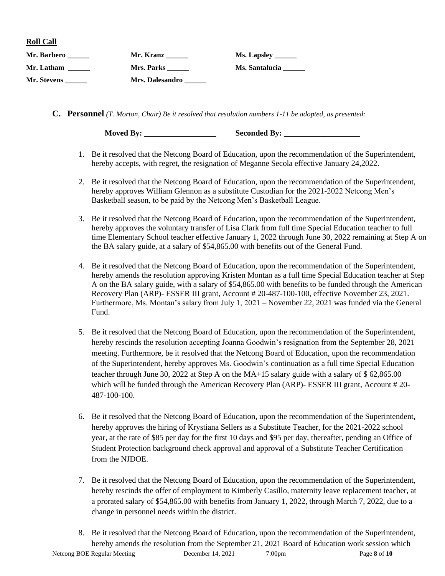**Roll Call**

| Mr. Barbero | Mr. Kranz         | <b>Ms. Lapsley _______</b> |
|-------------|-------------------|----------------------------|
| Mr. Latham  | <b>Mrs. Parks</b> | Ms. Santalucia             |
| Mr. Stevens | Mrs. Dalesandro   |                            |

**C. Personnel** *(T. Morton, Chair) Be it resolved that resolution numbers 1-11 be adopted, as presented:*

**Moved By:** Seconded By:

- 1. Be it resolved that the Netcong Board of Education, upon the recommendation of the Superintendent, hereby accepts, with regret, the resignation of Meganne Secola effective January 24,2022.
- 2. Be it resolved that the Netcong Board of Education, upon the recommendation of the Superintendent, hereby approves William Glennon as a substitute Custodian for the 2021-2022 Netcong Men's Basketball season, to be paid by the Netcong Men's Basketball League.
- 3. Be it resolved that the Netcong Board of Education, upon the recommendation of the Superintendent, hereby approves the voluntary transfer of Lisa Clark from full time Special Education teacher to full time Elementary School teacher effective January 1, 2022 through June 30, 2022 remaining at Step A on the BA salary guide, at a salary of \$54,865.00 with benefits out of the General Fund.
- 4. Be it resolved that the Netcong Board of Education, upon the recommendation of the Superintendent, hereby amends the resolution approving Kristen Montan as a full time Special Education teacher at Step A on the BA salary guide, with a salary of \$54,865.00 with benefits to be funded through the American Recovery Plan (ARP)- ESSER III grant, Account # 20-487-100-100, effective November 23, 2021. Furthermore, Ms. Montan's salary from July 1, 2021 – November 22, 2021 was funded via the General Fund.
- 5. Be it resolved that the Netcong Board of Education, upon the recommendation of the Superintendent, hereby rescinds the resolution accepting Joanna Goodwin's resignation from the September 28, 2021 meeting. Furthermore, be it resolved that the Netcong Board of Education, upon the recommendation of the Superintendent, hereby approves Ms. Goodwin's continuation as a full time Special Education teacher through June 30, 2022 at Step A on the MA+15 salary guide with a salary of \$ 62,865.00 which will be funded through the American Recovery Plan (ARP)- ESSER III grant, Account # 20-487-100-100.
- 6. Be it resolved that the Netcong Board of Education, upon the recommendation of the Superintendent, hereby approves the hiring of Krystiana Sellers as a Substitute Teacher, for the 2021-2022 school year, at the rate of \$85 per day for the first 10 days and \$95 per day, thereafter, pending an Office of Student Protection background check approval and approval of a Substitute Teacher Certification from the NJDOE.
- 7. Be it resolved that the Netcong Board of Education, upon the recommendation of the Superintendent, hereby rescinds the offer of employment to Kimberly Casillo, maternity leave replacement teacher, at a prorated salary of \$54,865.00 with benefits from January 1, 2022, through March 7, 2022, due to a change in personnel needs within the district.
- Netcong BOE Regular Meeting December 14, 2021 7:00pm Page **8** of **10** 8. Be it resolved that the Netcong Board of Education, upon the recommendation of the Superintendent, hereby amends the resolution from the September 21, 2021 Board of Education work session which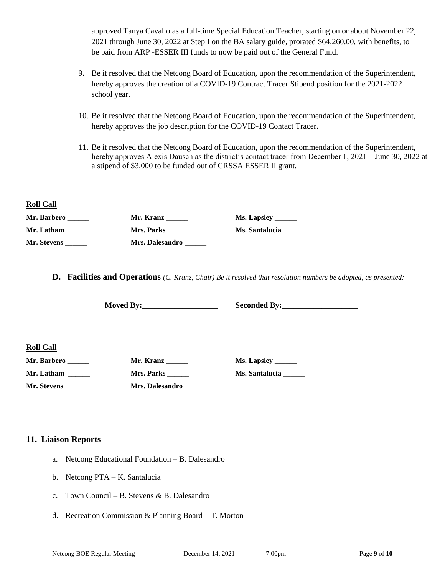approved Tanya Cavallo as a full-time Special Education Teacher, starting on or about November 22, 2021 through June 30, 2022 at Step I on the BA salary guide, prorated \$64,260.00, with benefits, to be paid from ARP -ESSER III funds to now be paid out of the General Fund.

- 9. Be it resolved that the Netcong Board of Education, upon the recommendation of the Superintendent, hereby approves the creation of a COVID-19 Contract Tracer Stipend position for the 2021-2022 school year.
- 10. Be it resolved that the Netcong Board of Education, upon the recommendation of the Superintendent, hereby approves the job description for the COVID-19 Contact Tracer.
- 11. Be it resolved that the Netcong Board of Education, upon the recommendation of the Superintendent, hereby approves Alexis Dausch as the district's contact tracer from December 1, 2021 – June 30, 2022 at a stipend of \$3,000 to be funded out of CRSSA ESSER II grant.

#### **Roll Call**

| Mr. Barbero | Mr. Kranz       |                       |
|-------------|-----------------|-----------------------|
| Mr. Latham  | Mrs. Parks      | <b>Ms. Santalucia</b> |
| Mr. Stevens | Mrs. Dalesandro |                       |

**D. Facilities and Operations** *(C. Kranz, Chair) Be it resolved that resolution numbers be adopted, as presented:*

**Moved By:\_\_\_\_\_\_\_\_\_\_\_\_\_\_\_\_\_\_\_ Seconded By:\_\_\_\_\_\_\_\_\_\_\_\_\_\_\_\_\_\_\_**

**Roll Call**

**Mr. Barbero \_\_\_\_\_\_ Mr. Kranz \_\_\_\_\_\_ Ms. Lapsley \_\_\_\_\_\_**

**Mr. Latham \_\_\_\_\_\_ Mrs. Parks \_\_\_\_\_\_ Ms. Santalucia \_\_\_\_\_\_ Mr. Stevens \_\_\_\_\_\_ Mrs. Dalesandro \_\_\_\_\_\_**

### **11. Liaison Reports**

- a. Netcong Educational Foundation B. Dalesandro
- b. Netcong PTA K. Santalucia
- c. Town Council B. Stevens & B. Dalesandro
- d. Recreation Commission & Planning Board T. Morton